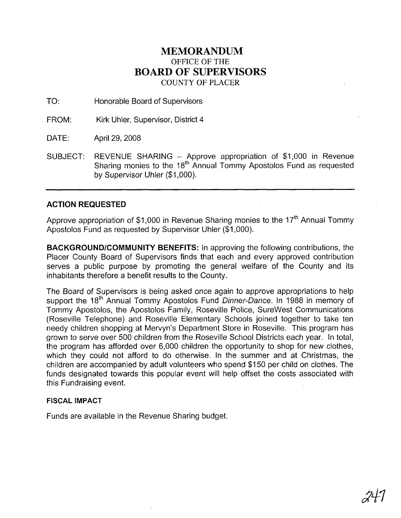## **MEMORANDUM** OFFICE OF THE **BOARD OF SUPERVISORS** COUNTY OF PLACER

TO: Honorable Board of Supervisors

FROM: Kirk Uhler, Supervisor, District 4

DATE: April 29, 2008

SUBJECT: REVENUE SHARING - Approve appropriation of \$1,000 in Revenue Sharing monies to the 18<sup>th</sup> Annual Tommy Apostolos Fund as requested by Supervisor Uhler (\$1,000).

## **ACTION REQUESTED**

Approve appropriation of \$1,000 in Revenue Sharing monies to the 17<sup>th</sup> Annual Tommy Apostolos Fund as requested by Supervisor Uhler (\$1,000).

**BACKGROUND/COMMUNITY BENEFITS:** In approving the following contributions, the Placer County Board of Supervisors finds that each and every approved contribution serves a public purpose by promoting the general welfare of the County and its inhabitants therefore a benefit results to the County.

The Board of Supervisors is being asked once again to approve appropriations to help support the 18<sup>th</sup> Annual Tommy Apostolos Fund Dinner-Dance. In 1988 in memory of Tommy Apostolos, the Apostolos Family, Roseville Police, SureWest Communications (Roseville Telephone) and Roseville Elementary Schools joined together to take ten needy children shopping at Mervyn's Department Store in Roseville. This program has grown to serve over 500 children from the Roseville School Districts each year. In total, the program has afforded over 6,000 children' the opportunity to shop for new clothes, which they could not afford to do otherwise. In the summer and at Christmas, the children are accompanied by adult volunteers who spend \$150 per child on clothes. The funds designated towards this popular event will help offset the costs associated with this Fundraising event.

## **FISCAL IMPACT**

Funds are available in the Revenue Sharing budget.